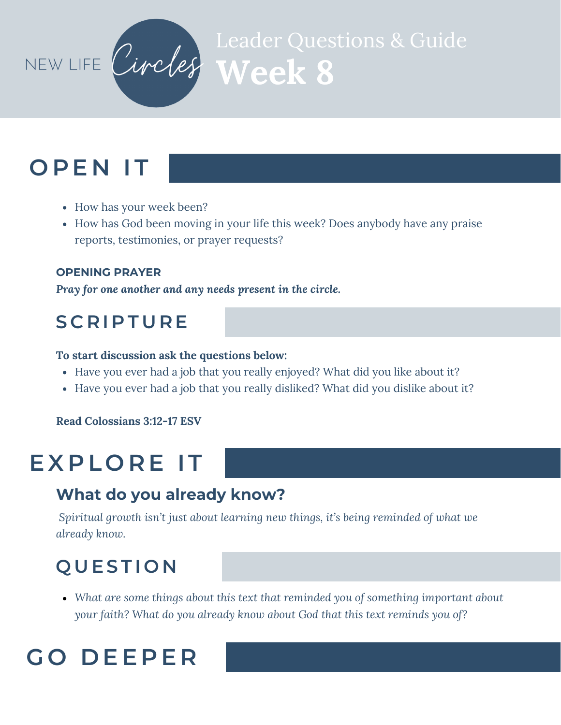

# **Week 8** Leader Questions & Guide

## **O P E N I T**

- How has your week been?
- How has God been moving in your life this week? Does anybody have any praise reports, testimonies, or prayer requests?

#### **OPENING PRAYER**

*Pray for one another and any needs present in the circle.*

### **S C R I P T U R E**

#### **To start discussion ask the questions below:**

- Have you ever had a job that you really enjoyed? What did you like about it?
- Have you ever had a job that you really disliked? What did you dislike about it?

#### **Read Colossians 3:12-17 ESV**

## **EX P L O R E I T**

#### **What do you already know?**

*Spiritual growth isn't just about learning new things, it's being reminded of what we already know.*

### **Q U ES T I O N**

*What are some things about this text that reminded you of something important about your faith? What do you already know about God that this text reminds you of?*

## **G O D EE P E R**